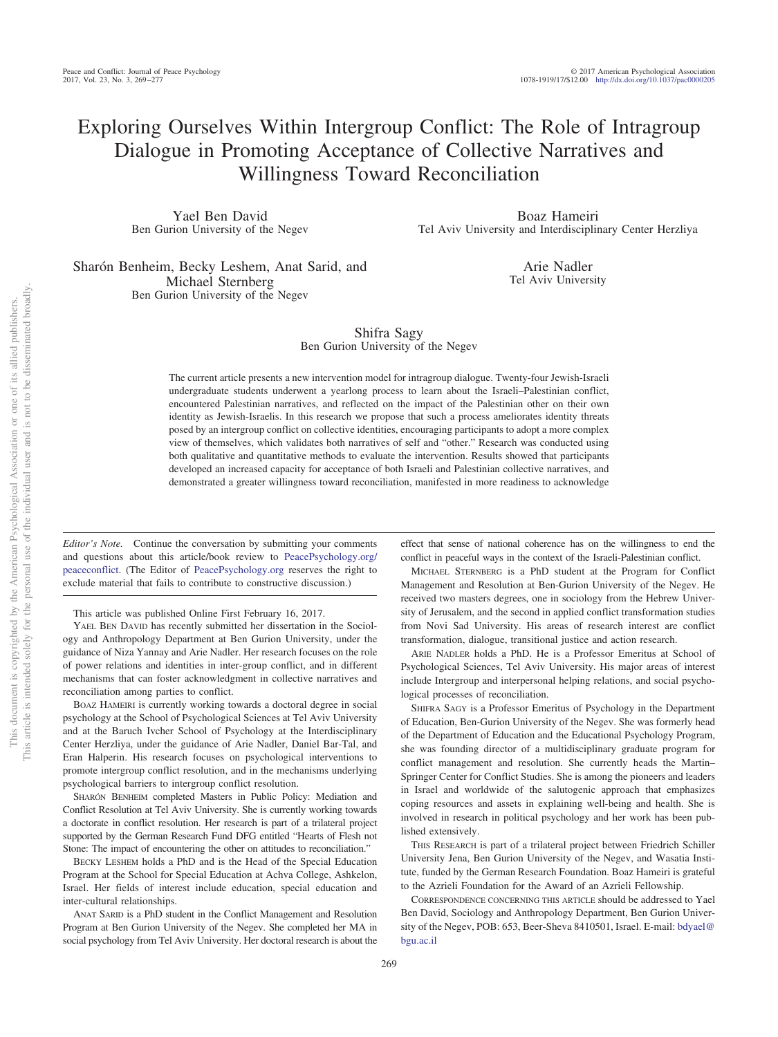# Exploring Ourselves Within Intergroup Conflict: The Role of Intragroup Dialogue in Promoting Acceptance of Collective Narratives and Willingness Toward Reconciliation

Yael Ben David Ben Gurion University of the Negev

Boaz Hameiri Tel Aviv University and Interdisciplinary Center Herzliya

Sharón Benheim, Becky Leshem, Anat Sarid, and Michael Sternberg Ben Gurion University of the Negev

Arie Nadler Tel Aviv University

# Shifra Sagy Ben Gurion University of the Negev

The current article presents a new intervention model for intragroup dialogue. Twenty-four Jewish-Israeli undergraduate students underwent a yearlong process to learn about the Israeli–Palestinian conflict, encountered Palestinian narratives, and reflected on the impact of the Palestinian other on their own identity as Jewish-Israelis. In this research we propose that such a process ameliorates identity threats posed by an intergroup conflict on collective identities, encouraging participants to adopt a more complex view of themselves, which validates both narratives of self and "other." Research was conducted using both qualitative and quantitative methods to evaluate the intervention. Results showed that participants developed an increased capacity for acceptance of both Israeli and Palestinian collective narratives, and demonstrated a greater willingness toward reconciliation, manifested in more readiness to acknowledge

*Editor's Note.* Continue the conversation by submitting your comments and questions about this article/book review to [PeacePsychology.org/](http://PeacePsychology.org/peaceconflict) [peaceconflict.](http://PeacePsychology.org/peaceconflict) (The Editor of [PeacePsychology.org](http://PeacePsychology.org) reserves the right to exclude material that fails to contribute to constructive discussion.)

This article was published Online First February 16, 2017.

YAEL BEN DAVID has recently submitted her dissertation in the Sociology and Anthropology Department at Ben Gurion University, under the guidance of Niza Yannay and Arie Nadler. Her research focuses on the role of power relations and identities in inter-group conflict, and in different mechanisms that can foster acknowledgment in collective narratives and reconciliation among parties to conflict.

BOAZ HAMEIRI is currently working towards a doctoral degree in social psychology at the School of Psychological Sciences at Tel Aviv University and at the Baruch Ivcher School of Psychology at the Interdisciplinary Center Herzliya, under the guidance of Arie Nadler, Daniel Bar-Tal, and Eran Halperin. His research focuses on psychological interventions to promote intergroup conflict resolution, and in the mechanisms underlying psychological barriers to intergroup conflict resolution.

SHARÓN BENHEIM completed Masters in Public Policy: Mediation and Conflict Resolution at Tel Aviv University. She is currently working towards a doctorate in conflict resolution. Her research is part of a trilateral project supported by the German Research Fund DFG entitled "Hearts of Flesh not Stone: The impact of encountering the other on attitudes to reconciliation."

BECKY LESHEM holds a PhD and is the Head of the Special Education Program at the School for Special Education at Achva College, Ashkelon, Israel. Her fields of interest include education, special education and inter-cultural relationships.

ANAT SARID is a PhD student in the Conflict Management and Resolution Program at Ben Gurion University of the Negev. She completed her MA in social psychology from Tel Aviv University. Her doctoral research is about the

effect that sense of national coherence has on the willingness to end the conflict in peaceful ways in the context of the Israeli-Palestinian conflict.

MICHAEL STERNBERG is a PhD student at the Program for Conflict Management and Resolution at Ben-Gurion University of the Negev. He received two masters degrees, one in sociology from the Hebrew University of Jerusalem, and the second in applied conflict transformation studies from Novi Sad University. His areas of research interest are conflict transformation, dialogue, transitional justice and action research.

ARIE NADLER holds a PhD. He is a Professor Emeritus at School of Psychological Sciences, Tel Aviv University. His major areas of interest include Intergroup and interpersonal helping relations, and social psychological processes of reconciliation.

SHIFRA SAGY is a Professor Emeritus of Psychology in the Department of Education, Ben-Gurion University of the Negev. She was formerly head of the Department of Education and the Educational Psychology Program, she was founding director of a multidisciplinary graduate program for conflict management and resolution. She currently heads the Martin– Springer Center for Conflict Studies. She is among the pioneers and leaders in Israel and worldwide of the salutogenic approach that emphasizes coping resources and assets in explaining well-being and health. She is involved in research in political psychology and her work has been published extensively.

THIS RESEARCH is part of a trilateral project between Friedrich Schiller University Jena, Ben Gurion University of the Negev, and Wasatia Institute, funded by the German Research Foundation. Boaz Hameiri is grateful to the Azrieli Foundation for the Award of an Azrieli Fellowship.

CORRESPONDENCE CONCERNING THIS ARTICLE should be addressed to Yael Ben David, Sociology and Anthropology Department, Ben Gurion University of the Negev, POB: 653, Beer-Sheva 8410501, Israel. E-mail: [bdyael@](mailto:bdyael@bgu.ac.il) [bgu.ac.il](mailto:bdyael@bgu.ac.il)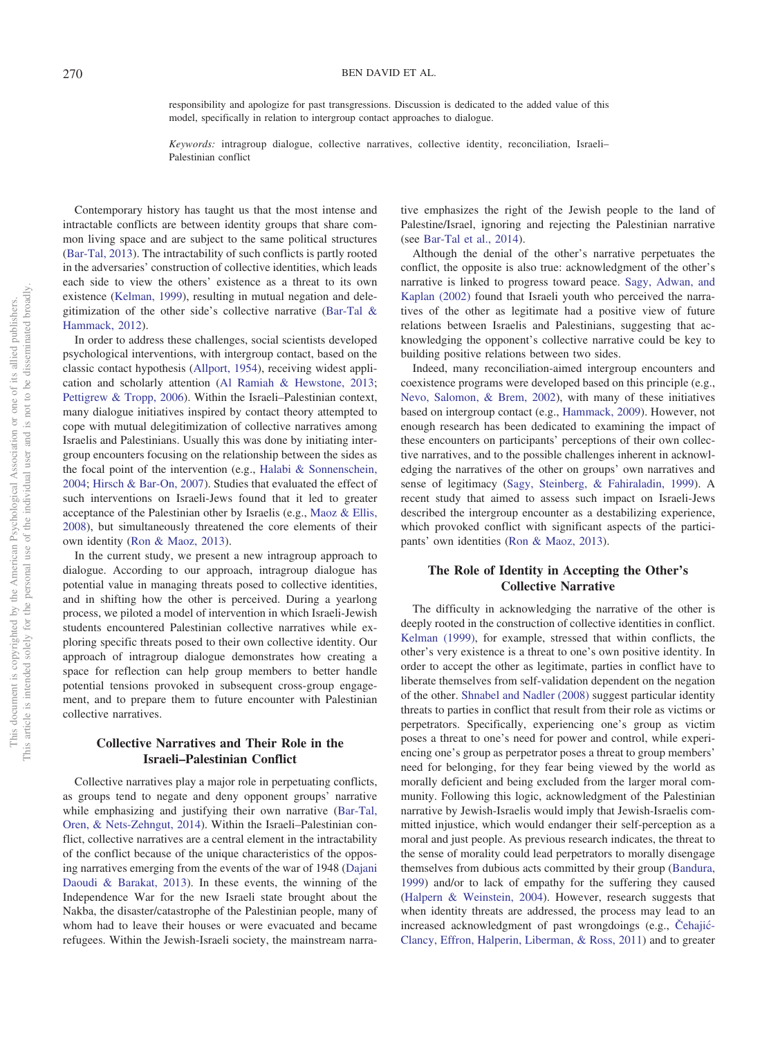#### 270 BEN DAVID ET AL.

responsibility and apologize for past transgressions. Discussion is dedicated to the added value of this model, specifically in relation to intergroup contact approaches to dialogue.

*Keywords:* intragroup dialogue, collective narratives, collective identity, reconciliation, Israeli– Palestinian conflict

Contemporary history has taught us that the most intense and intractable conflicts are between identity groups that share common living space and are subject to the same political structures [\(Bar-Tal, 2013\)](#page-7-0). The intractability of such conflicts is partly rooted in the adversaries' construction of collective identities, which leads each side to view the others' existence as a threat to its own existence [\(Kelman, 1999\)](#page-7-1), resulting in mutual negation and delegitimization of the other side's collective narrative [\(Bar-Tal &](#page-7-2) [Hammack, 2012\)](#page-7-2).

In order to address these challenges, social scientists developed psychological interventions, with intergroup contact, based on the classic contact hypothesis [\(Allport, 1954\)](#page-7-3), receiving widest application and scholarly attention [\(Al Ramiah & Hewstone, 2013;](#page-7-4) [Pettigrew & Tropp, 2006\)](#page-8-0). Within the Israeli–Palestinian context, many dialogue initiatives inspired by contact theory attempted to cope with mutual delegitimization of collective narratives among Israelis and Palestinians. Usually this was done by initiating intergroup encounters focusing on the relationship between the sides as the focal point of the intervention (e.g., [Halabi & Sonnenschein,](#page-7-5) [2004;](#page-7-5) [Hirsch & Bar-On, 2007\)](#page-7-6). Studies that evaluated the effect of such interventions on Israeli-Jews found that it led to greater acceptance of the Palestinian other by Israelis (e.g., [Maoz & Ellis,](#page-7-7) [2008\)](#page-7-7), but simultaneously threatened the core elements of their own identity [\(Ron & Maoz, 2013\)](#page-8-1).

In the current study, we present a new intragroup approach to dialogue. According to our approach, intragroup dialogue has potential value in managing threats posed to collective identities, and in shifting how the other is perceived. During a yearlong process, we piloted a model of intervention in which Israeli-Jewish students encountered Palestinian collective narratives while exploring specific threats posed to their own collective identity. Our approach of intragroup dialogue demonstrates how creating a space for reflection can help group members to better handle potential tensions provoked in subsequent cross-group engagement, and to prepare them to future encounter with Palestinian collective narratives.

# **Collective Narratives and Their Role in the Israeli–Palestinian Conflict**

Collective narratives play a major role in perpetuating conflicts, as groups tend to negate and deny opponent groups' narrative while emphasizing and justifying their own narrative [\(Bar-Tal,](#page-7-8) [Oren, & Nets-Zehngut, 2014\)](#page-7-8). Within the Israeli–Palestinian conflict, collective narratives are a central element in the intractability of the conflict because of the unique characteristics of the opposing narratives emerging from the events of the war of 1948 [\(Dajani](#page-7-9) [Daoudi & Barakat, 2013\)](#page-7-9). In these events, the winning of the Independence War for the new Israeli state brought about the Nakba, the disaster/catastrophe of the Palestinian people, many of whom had to leave their houses or were evacuated and became refugees. Within the Jewish-Israeli society, the mainstream narrative emphasizes the right of the Jewish people to the land of Palestine/Israel, ignoring and rejecting the Palestinian narrative (see [Bar-Tal et al., 2014\)](#page-7-8).

Although the denial of the other's narrative perpetuates the conflict, the opposite is also true: acknowledgment of the other's narrative is linked to progress toward peace. [Sagy, Adwan, and](#page-8-2) [Kaplan \(2002\)](#page-8-2) found that Israeli youth who perceived the narratives of the other as legitimate had a positive view of future relations between Israelis and Palestinians, suggesting that acknowledging the opponent's collective narrative could be key to building positive relations between two sides.

Indeed, many reconciliation-aimed intergroup encounters and coexistence programs were developed based on this principle (e.g., [Nevo, Salomon, & Brem, 2002\)](#page-8-3), with many of these initiatives based on intergroup contact (e.g., [Hammack, 2009\)](#page-7-10). However, not enough research has been dedicated to examining the impact of these encounters on participants' perceptions of their own collective narratives, and to the possible challenges inherent in acknowledging the narratives of the other on groups' own narratives and sense of legitimacy [\(Sagy, Steinberg, & Fahiraladin, 1999\)](#page-8-4). A recent study that aimed to assess such impact on Israeli-Jews described the intergroup encounter as a destabilizing experience, which provoked conflict with significant aspects of the participants' own identities [\(Ron & Maoz, 2013\)](#page-8-1).

# **The Role of Identity in Accepting the Other's Collective Narrative**

The difficulty in acknowledging the narrative of the other is deeply rooted in the construction of collective identities in conflict. [Kelman \(1999\),](#page-7-1) for example, stressed that within conflicts, the other's very existence is a threat to one's own positive identity. In order to accept the other as legitimate, parties in conflict have to liberate themselves from self-validation dependent on the negation of the other. [Shnabel and Nadler \(2008\)](#page-8-5) suggest particular identity threats to parties in conflict that result from their role as victims or perpetrators. Specifically, experiencing one's group as victim poses a threat to one's need for power and control, while experiencing one's group as perpetrator poses a threat to group members' need for belonging, for they fear being viewed by the world as morally deficient and being excluded from the larger moral community. Following this logic, acknowledgment of the Palestinian narrative by Jewish-Israelis would imply that Jewish-Israelis committed injustice, which would endanger their self-perception as a moral and just people. As previous research indicates, the threat to the sense of morality could lead perpetrators to morally disengage themselves from dubious acts committed by their group [\(Bandura,](#page-7-11) [1999\)](#page-7-11) and/or to lack of empathy for the suffering they caused [\(Halpern & Weinstein, 2004\)](#page-7-12). However, research suggests that when identity threats are addressed, the process may lead to an increased acknowledgment of past wrongdoings (e.g., Čehajić-[Clancy, Effron, Halperin, Liberman, & Ross, 2011\)](#page-7-13) and to greater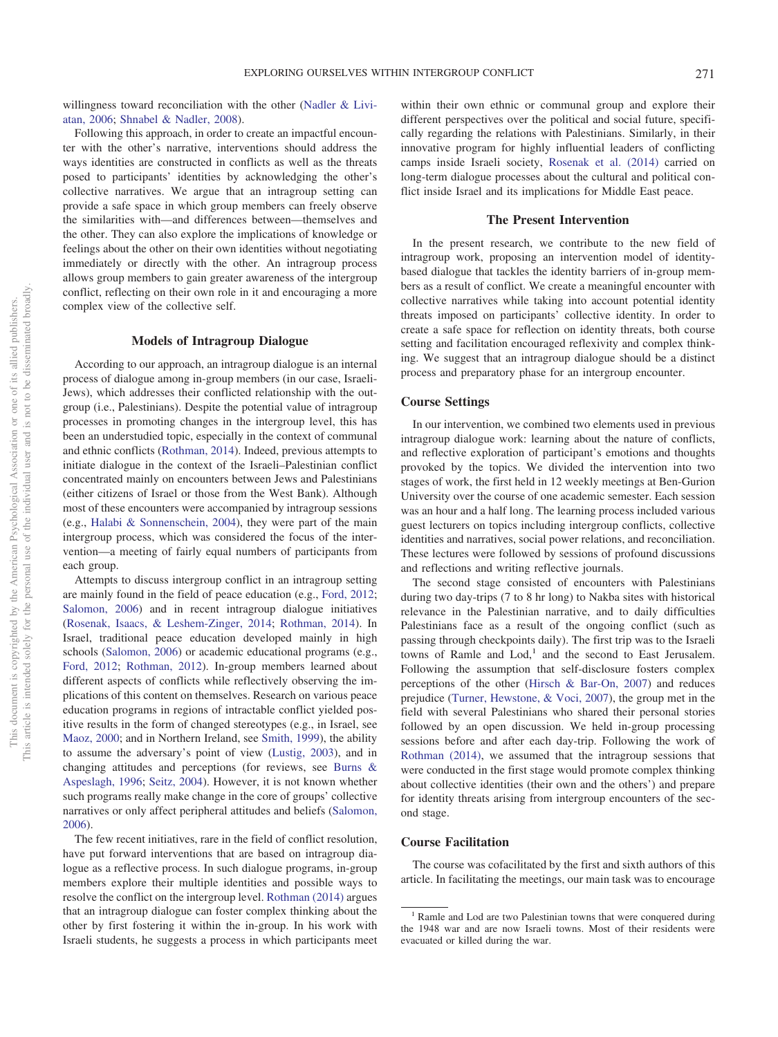willingness toward reconciliation with the other [\(Nadler & Livi](#page-7-14)[atan, 2006;](#page-7-14) [Shnabel & Nadler, 2008\)](#page-8-5).

Following this approach, in order to create an impactful encounter with the other's narrative, interventions should address the ways identities are constructed in conflicts as well as the threats posed to participants' identities by acknowledging the other's collective narratives. We argue that an intragroup setting can provide a safe space in which group members can freely observe the similarities with—and differences between—themselves and the other. They can also explore the implications of knowledge or feelings about the other on their own identities without negotiating immediately or directly with the other. An intragroup process allows group members to gain greater awareness of the intergroup conflict, reflecting on their own role in it and encouraging a more complex view of the collective self.

## **Models of Intragroup Dialogue**

According to our approach, an intragroup dialogue is an internal process of dialogue among in-group members (in our case, Israeli-Jews), which addresses their conflicted relationship with the outgroup (i.e., Palestinians). Despite the potential value of intragroup processes in promoting changes in the intergroup level, this has been an understudied topic, especially in the context of communal and ethnic conflicts [\(Rothman, 2014\)](#page-8-6). Indeed, previous attempts to initiate dialogue in the context of the Israeli–Palestinian conflict concentrated mainly on encounters between Jews and Palestinians (either citizens of Israel or those from the West Bank). Although most of these encounters were accompanied by intragroup sessions (e.g., [Halabi & Sonnenschein, 2004\)](#page-7-5), they were part of the main intergroup process, which was considered the focus of the intervention—a meeting of fairly equal numbers of participants from each group.

Attempts to discuss intergroup conflict in an intragroup setting are mainly found in the field of peace education (e.g., [Ford, 2012;](#page-7-15) [Salomon, 2006\)](#page-8-7) and in recent intragroup dialogue initiatives [\(Rosenak, Isaacs, & Leshem-Zinger, 2014;](#page-8-8) [Rothman, 2014\)](#page-8-6). In Israel, traditional peace education developed mainly in high schools [\(Salomon, 2006\)](#page-8-7) or academic educational programs (e.g., [Ford, 2012;](#page-7-15) [Rothman, 2012\)](#page-8-9). In-group members learned about different aspects of conflicts while reflectively observing the implications of this content on themselves. Research on various peace education programs in regions of intractable conflict yielded positive results in the form of changed stereotypes (e.g., in Israel, see [Maoz, 2000;](#page-7-16) and in Northern Ireland, see [Smith, 1999\)](#page-8-10), the ability to assume the adversary's point of view [\(Lustig, 2003\)](#page-7-17), and in changing attitudes and perceptions (for reviews, see [Burns &](#page-7-18) [Aspeslagh, 1996;](#page-7-18) [Seitz, 2004\)](#page-8-11). However, it is not known whether such programs really make change in the core of groups' collective narratives or only affect peripheral attitudes and beliefs [\(Salomon,](#page-8-7) [2006\)](#page-8-7).

The few recent initiatives, rare in the field of conflict resolution, have put forward interventions that are based on intragroup dialogue as a reflective process. In such dialogue programs, in-group members explore their multiple identities and possible ways to resolve the conflict on the intergroup level. [Rothman \(2014\)](#page-8-6) argues that an intragroup dialogue can foster complex thinking about the other by first fostering it within the in-group. In his work with Israeli students, he suggests a process in which participants meet

within their own ethnic or communal group and explore their different perspectives over the political and social future, specifically regarding the relations with Palestinians. Similarly, in their innovative program for highly influential leaders of conflicting camps inside Israeli society, [Rosenak et al. \(2014\)](#page-8-8) carried on long-term dialogue processes about the cultural and political conflict inside Israel and its implications for Middle East peace.

#### **The Present Intervention**

In the present research, we contribute to the new field of intragroup work, proposing an intervention model of identitybased dialogue that tackles the identity barriers of in-group members as a result of conflict. We create a meaningful encounter with collective narratives while taking into account potential identity threats imposed on participants' collective identity. In order to create a safe space for reflection on identity threats, both course setting and facilitation encouraged reflexivity and complex thinking. We suggest that an intragroup dialogue should be a distinct process and preparatory phase for an intergroup encounter.

## **Course Settings**

In our intervention, we combined two elements used in previous intragroup dialogue work: learning about the nature of conflicts, and reflective exploration of participant's emotions and thoughts provoked by the topics. We divided the intervention into two stages of work, the first held in 12 weekly meetings at Ben-Gurion University over the course of one academic semester. Each session was an hour and a half long. The learning process included various guest lecturers on topics including intergroup conflicts, collective identities and narratives, social power relations, and reconciliation. These lectures were followed by sessions of profound discussions and reflections and writing reflective journals.

The second stage consisted of encounters with Palestinians during two day-trips (7 to 8 hr long) to Nakba sites with historical relevance in the Palestinian narrative, and to daily difficulties Palestinians face as a result of the ongoing conflict (such as passing through checkpoints daily). The first trip was to the Israeli towns of Ramle and  $Lod$ ,<sup>1</sup> and the second to East Jerusalem. Following the assumption that self-disclosure fosters complex perceptions of the other [\(Hirsch & Bar-On, 2007\)](#page-7-6) and reduces prejudice [\(Turner, Hewstone, & Voci, 2007\)](#page-8-12), the group met in the field with several Palestinians who shared their personal stories followed by an open discussion. We held in-group processing sessions before and after each day-trip. Following the work of [Rothman \(2014\),](#page-8-6) we assumed that the intragroup sessions that were conducted in the first stage would promote complex thinking about collective identities (their own and the others') and prepare for identity threats arising from intergroup encounters of the second stage.

### **Course Facilitation**

The course was cofacilitated by the first and sixth authors of this article. In facilitating the meetings, our main task was to encourage

<sup>&</sup>lt;sup>1</sup> Ramle and Lod are two Palestinian towns that were conquered during the 1948 war and are now Israeli towns. Most of their residents were evacuated or killed during the war.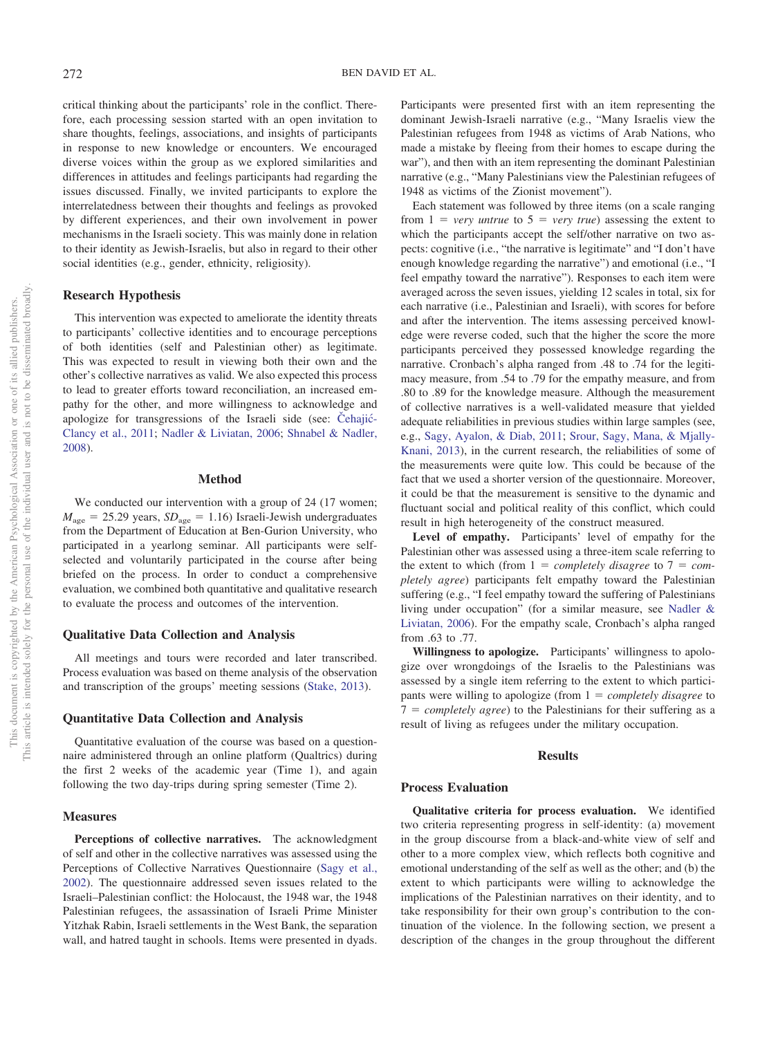critical thinking about the participants' role in the conflict. Therefore, each processing session started with an open invitation to share thoughts, feelings, associations, and insights of participants in response to new knowledge or encounters. We encouraged diverse voices within the group as we explored similarities and differences in attitudes and feelings participants had regarding the issues discussed. Finally, we invited participants to explore the interrelatedness between their thoughts and feelings as provoked by different experiences, and their own involvement in power mechanisms in the Israeli society. This was mainly done in relation to their identity as Jewish-Israelis, but also in regard to their other social identities (e.g., gender, ethnicity, religiosity).

## **Research Hypothesis**

This intervention was expected to ameliorate the identity threats to participants' collective identities and to encourage perceptions of both identities (self and Palestinian other) as legitimate. This was expected to result in viewing both their own and the other's collective narratives as valid. We also expected this process to lead to greater efforts toward reconciliation, an increased empathy for the other, and more willingness to acknowledge and apologize for transgressions of the Israeli side (see: Čehajić-[Clancy et al., 2011;](#page-7-13) [Nadler & Liviatan, 2006;](#page-7-14) [Shnabel & Nadler,](#page-8-5) [2008\)](#page-8-5).

#### **Method**

We conducted our intervention with a group of 24 (17 women;  $M_{\text{age}} = 25.29$  years,  $SD_{\text{age}} = 1.16$ ) Israeli-Jewish undergraduates from the Department of Education at Ben-Gurion University, who participated in a yearlong seminar. All participants were selfselected and voluntarily participated in the course after being briefed on the process. In order to conduct a comprehensive evaluation, we combined both quantitative and qualitative research to evaluate the process and outcomes of the intervention.

#### **Qualitative Data Collection and Analysis**

All meetings and tours were recorded and later transcribed. Process evaluation was based on theme analysis of the observation and transcription of the groups' meeting sessions [\(Stake, 2013\)](#page-8-13).

## **Quantitative Data Collection and Analysis**

Quantitative evaluation of the course was based on a questionnaire administered through an online platform (Qualtrics) during the first 2 weeks of the academic year (Time 1), and again following the two day-trips during spring semester (Time 2).

## **Measures**

**Perceptions of collective narratives.** The acknowledgment of self and other in the collective narratives was assessed using the Perceptions of Collective Narratives Questionnaire [\(Sagy et al.,](#page-8-2) [2002\)](#page-8-2). The questionnaire addressed seven issues related to the Israeli–Palestinian conflict: the Holocaust, the 1948 war, the 1948 Palestinian refugees, the assassination of Israeli Prime Minister Yitzhak Rabin, Israeli settlements in the West Bank, the separation wall, and hatred taught in schools. Items were presented in dyads. Participants were presented first with an item representing the dominant Jewish-Israeli narrative (e.g., "Many Israelis view the Palestinian refugees from 1948 as victims of Arab Nations, who made a mistake by fleeing from their homes to escape during the war"), and then with an item representing the dominant Palestinian narrative (e.g., "Many Palestinians view the Palestinian refugees of 1948 as victims of the Zionist movement").

Each statement was followed by three items (on a scale ranging from  $1 = \text{very}$  *untrue* to  $5 = \text{very}$  *true*) assessing the extent to which the participants accept the self/other narrative on two aspects: cognitive (i.e., "the narrative is legitimate" and "I don't have enough knowledge regarding the narrative") and emotional (i.e., "I feel empathy toward the narrative"). Responses to each item were averaged across the seven issues, yielding 12 scales in total, six for each narrative (i.e., Palestinian and Israeli), with scores for before and after the intervention. The items assessing perceived knowledge were reverse coded, such that the higher the score the more participants perceived they possessed knowledge regarding the narrative. Cronbach's alpha ranged from .48 to .74 for the legitimacy measure, from .54 to .79 for the empathy measure, and from .80 to .89 for the knowledge measure. Although the measurement of collective narratives is a well-validated measure that yielded adequate reliabilities in previous studies within large samples (see, e.g., [Sagy, Ayalon, & Diab, 2011;](#page-8-14) [Srour, Sagy, Mana, & Mjally-](#page-8-15)[Knani, 2013\)](#page-8-15), in the current research, the reliabilities of some of the measurements were quite low. This could be because of the fact that we used a shorter version of the questionnaire. Moreover, it could be that the measurement is sensitive to the dynamic and fluctuant social and political reality of this conflict, which could result in high heterogeneity of the construct measured.

**Level of empathy.** Participants' level of empathy for the Palestinian other was assessed using a three-item scale referring to the extent to which (from  $1 = \text{completely}$  disagree to  $7 = \text{com-}$ *pletely agree*) participants felt empathy toward the Palestinian suffering (e.g., "I feel empathy toward the suffering of Palestinians living under occupation" (for a similar measure, see [Nadler &](#page-7-14) [Liviatan, 2006\)](#page-7-14). For the empathy scale, Cronbach's alpha ranged from .63 to .77.

**Willingness to apologize.** Participants' willingness to apologize over wrongdoings of the Israelis to the Palestinians was assessed by a single item referring to the extent to which participants were willing to apologize (from  $1 = \text{completely}$  *disagree* to  $7 = \text{completely agree}$ ) to the Palestinians for their suffering as a result of living as refugees under the military occupation.

#### **Results**

## **Process Evaluation**

**Qualitative criteria for process evaluation.** We identified two criteria representing progress in self-identity: (a) movement in the group discourse from a black-and-white view of self and other to a more complex view, which reflects both cognitive and emotional understanding of the self as well as the other; and (b) the extent to which participants were willing to acknowledge the implications of the Palestinian narratives on their identity, and to take responsibility for their own group's contribution to the continuation of the violence. In the following section, we present a description of the changes in the group throughout the different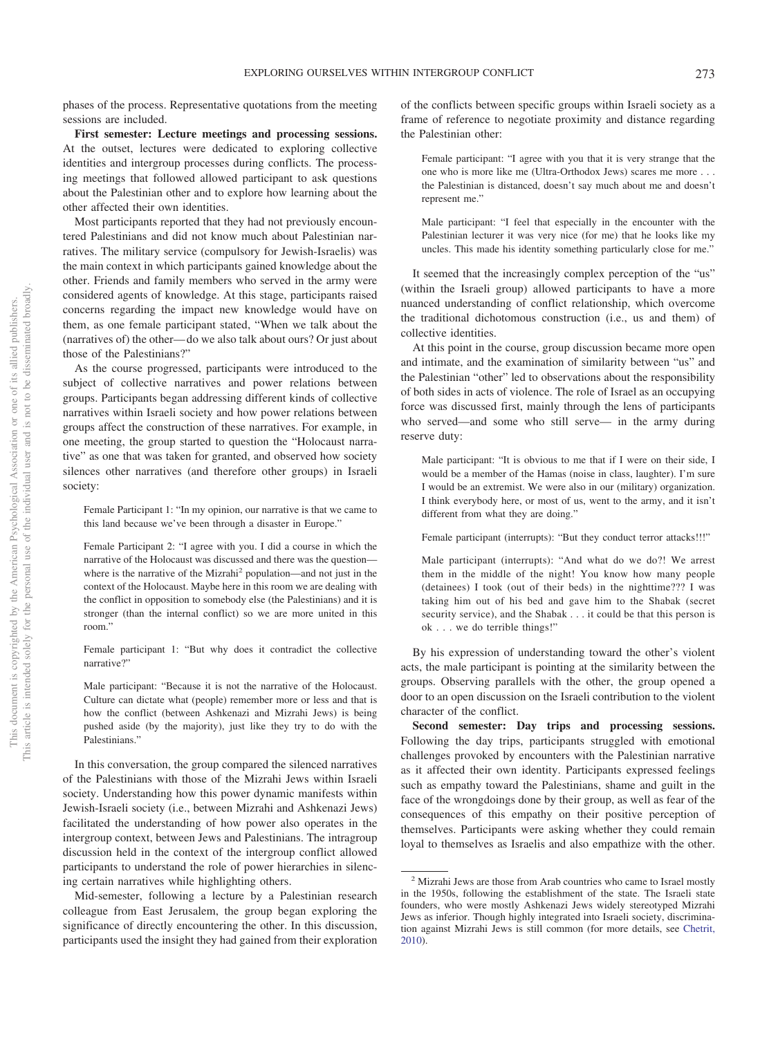phases of the process. Representative quotations from the meeting sessions are included.

**First semester: Lecture meetings and processing sessions.** At the outset, lectures were dedicated to exploring collective identities and intergroup processes during conflicts. The processing meetings that followed allowed participant to ask questions about the Palestinian other and to explore how learning about the other affected their own identities.

Most participants reported that they had not previously encountered Palestinians and did not know much about Palestinian narratives. The military service (compulsory for Jewish-Israelis) was the main context in which participants gained knowledge about the other. Friends and family members who served in the army were considered agents of knowledge. At this stage, participants raised concerns regarding the impact new knowledge would have on them, as one female participant stated, "When we talk about the (narratives of) the other—do we also talk about ours? Or just about those of the Palestinians?"

As the course progressed, participants were introduced to the subject of collective narratives and power relations between groups. Participants began addressing different kinds of collective narratives within Israeli society and how power relations between groups affect the construction of these narratives. For example, in one meeting, the group started to question the "Holocaust narrative" as one that was taken for granted, and observed how society silences other narratives (and therefore other groups) in Israeli society:

Female Participant 1: "In my opinion, our narrative is that we came to this land because we've been through a disaster in Europe."

Female Participant 2: "I agree with you. I did a course in which the narrative of the Holocaust was discussed and there was the question where is the narrative of the Mizrahi<sup>2</sup> population—and not just in the context of the Holocaust. Maybe here in this room we are dealing with the conflict in opposition to somebody else (the Palestinians) and it is stronger (than the internal conflict) so we are more united in this room."

Female participant 1: "But why does it contradict the collective narrative?"

Male participant: "Because it is not the narrative of the Holocaust. Culture can dictate what (people) remember more or less and that is how the conflict (between Ashkenazi and Mizrahi Jews) is being pushed aside (by the majority), just like they try to do with the Palestinians."

In this conversation, the group compared the silenced narratives of the Palestinians with those of the Mizrahi Jews within Israeli society. Understanding how this power dynamic manifests within Jewish-Israeli society (i.e., between Mizrahi and Ashkenazi Jews) facilitated the understanding of how power also operates in the intergroup context, between Jews and Palestinians. The intragroup discussion held in the context of the intergroup conflict allowed participants to understand the role of power hierarchies in silencing certain narratives while highlighting others.

Mid-semester, following a lecture by a Palestinian research colleague from East Jerusalem, the group began exploring the significance of directly encountering the other. In this discussion, participants used the insight they had gained from their exploration of the conflicts between specific groups within Israeli society as a frame of reference to negotiate proximity and distance regarding the Palestinian other:

Female participant: "I agree with you that it is very strange that the one who is more like me (Ultra-Orthodox Jews) scares me more... the Palestinian is distanced, doesn't say much about me and doesn't represent me."

Male participant: "I feel that especially in the encounter with the Palestinian lecturer it was very nice (for me) that he looks like my uncles. This made his identity something particularly close for me."

It seemed that the increasingly complex perception of the "us" (within the Israeli group) allowed participants to have a more nuanced understanding of conflict relationship, which overcome the traditional dichotomous construction (i.e., us and them) of collective identities.

At this point in the course, group discussion became more open and intimate, and the examination of similarity between "us" and the Palestinian "other" led to observations about the responsibility of both sides in acts of violence. The role of Israel as an occupying force was discussed first, mainly through the lens of participants who served—and some who still serve— in the army during reserve duty:

Male participant: "It is obvious to me that if I were on their side, I would be a member of the Hamas (noise in class, laughter). I'm sure I would be an extremist. We were also in our (military) organization. I think everybody here, or most of us, went to the army, and it isn't different from what they are doing."

Female participant (interrupts): "But they conduct terror attacks!!!"

Male participant (interrupts): "And what do we do?! We arrest them in the middle of the night! You know how many people (detainees) I took (out of their beds) in the nighttime??? I was taking him out of his bed and gave him to the Shabak (secret security service), and the Shabak . . . it could be that this person is ok . . . we do terrible things!"

By his expression of understanding toward the other's violent acts, the male participant is pointing at the similarity between the groups. Observing parallels with the other, the group opened a door to an open discussion on the Israeli contribution to the violent character of the conflict.

**Second semester: Day trips and processing sessions.** Following the day trips, participants struggled with emotional challenges provoked by encounters with the Palestinian narrative as it affected their own identity. Participants expressed feelings such as empathy toward the Palestinians, shame and guilt in the face of the wrongdoings done by their group, as well as fear of the consequences of this empathy on their positive perception of themselves. Participants were asking whether they could remain loyal to themselves as Israelis and also empathize with the other.

<sup>&</sup>lt;sup>2</sup> Mizrahi Jews are those from Arab countries who came to Israel mostly in the 1950s, following the establishment of the state. The Israeli state founders, who were mostly Ashkenazi Jews widely stereotyped Mizrahi Jews as inferior. Though highly integrated into Israeli society, discrimination against Mizrahi Jews is still common (for more details, see [Chetrit,](#page-7-19) [2010\)](#page-7-19).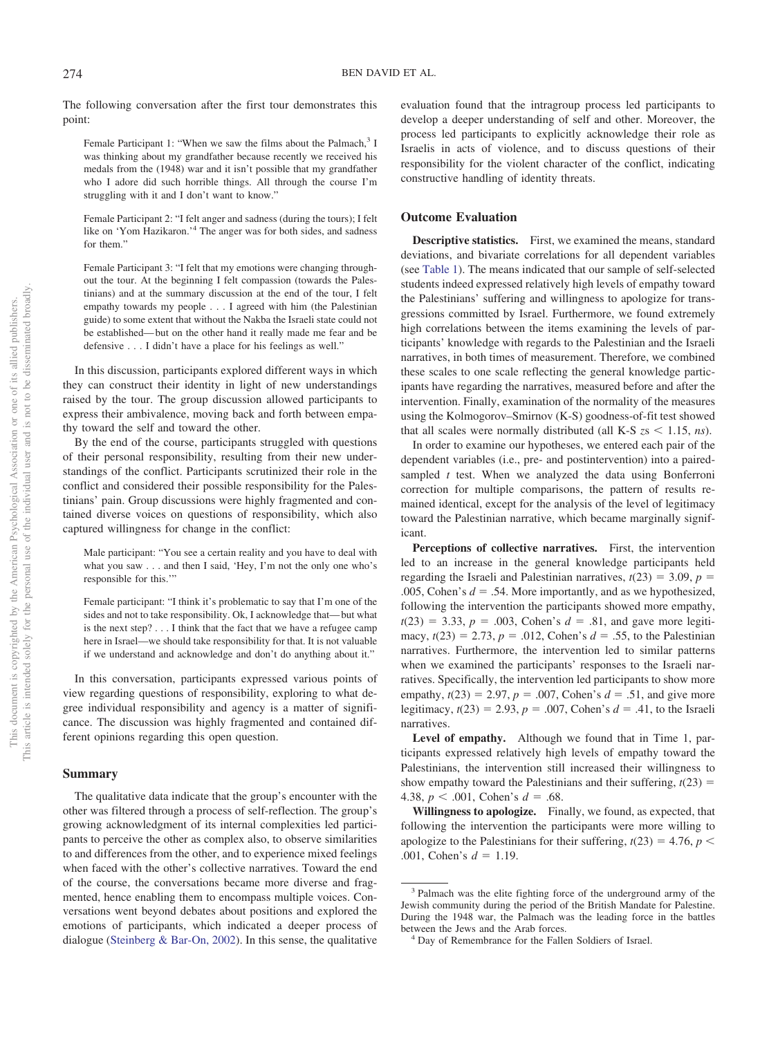The following conversation after the first tour demonstrates this point:

Female Participant 1: "When we saw the films about the Palmach,<sup>3</sup> I was thinking about my grandfather because recently we received his medals from the (1948) war and it isn't possible that my grandfather who I adore did such horrible things. All through the course I'm struggling with it and I don't want to know."

Female Participant 2: "I felt anger and sadness (during the tours); I felt like on 'Yom Hazikaron.'4 The anger was for both sides, and sadness for them."

Female Participant 3: "I felt that my emotions were changing throughout the tour. At the beginning I felt compassion (towards the Palestinians) and at the summary discussion at the end of the tour, I felt empathy towards my people...I agreed with him (the Palestinian guide) to some extent that without the Nakba the Israeli state could not be established—but on the other hand it really made me fear and be defensive...I didn't have a place for his feelings as well."

In this discussion, participants explored different ways in which they can construct their identity in light of new understandings raised by the tour. The group discussion allowed participants to express their ambivalence, moving back and forth between empathy toward the self and toward the other.

By the end of the course, participants struggled with questions of their personal responsibility, resulting from their new understandings of the conflict. Participants scrutinized their role in the conflict and considered their possible responsibility for the Palestinians' pain. Group discussions were highly fragmented and contained diverse voices on questions of responsibility, which also captured willingness for change in the conflict:

Male participant: "You see a certain reality and you have to deal with what you saw . . . and then I said, 'Hey, I'm not the only one who's responsible for this.'"

Female participant: "I think it's problematic to say that I'm one of the sides and not to take responsibility. Ok, I acknowledge that—but what is the next step?...I think that the fact that we have a refugee camp here in Israel—we should take responsibility for that. It is not valuable if we understand and acknowledge and don't do anything about it."

In this conversation, participants expressed various points of view regarding questions of responsibility, exploring to what degree individual responsibility and agency is a matter of significance. The discussion was highly fragmented and contained different opinions regarding this open question.

### **Summary**

The qualitative data indicate that the group's encounter with the other was filtered through a process of self-reflection. The group's growing acknowledgment of its internal complexities led participants to perceive the other as complex also, to observe similarities to and differences from the other, and to experience mixed feelings when faced with the other's collective narratives. Toward the end of the course, the conversations became more diverse and fragmented, hence enabling them to encompass multiple voices. Conversations went beyond debates about positions and explored the emotions of participants, which indicated a deeper process of dialogue [\(Steinberg & Bar-On, 2002\)](#page-8-16). In this sense, the qualitative

evaluation found that the intragroup process led participants to develop a deeper understanding of self and other. Moreover, the process led participants to explicitly acknowledge their role as Israelis in acts of violence, and to discuss questions of their responsibility for the violent character of the conflict, indicating constructive handling of identity threats.

## **Outcome Evaluation**

**Descriptive statistics.** First, we examined the means, standard deviations, and bivariate correlations for all dependent variables (see [Table 1\)](#page-6-0). The means indicated that our sample of self-selected students indeed expressed relatively high levels of empathy toward the Palestinians' suffering and willingness to apologize for transgressions committed by Israel. Furthermore, we found extremely high correlations between the items examining the levels of participants' knowledge with regards to the Palestinian and the Israeli narratives, in both times of measurement. Therefore, we combined these scales to one scale reflecting the general knowledge participants have regarding the narratives, measured before and after the intervention. Finally, examination of the normality of the measures using the Kolmogorov–Smirnov (K-S) goodness-of-fit test showed that all scales were normally distributed (all K-S  $zs < 1.15$ , ns).

In order to examine our hypotheses, we entered each pair of the dependent variables (i.e., pre- and postintervention) into a pairedsampled *t* test. When we analyzed the data using Bonferroni correction for multiple comparisons, the pattern of results remained identical, except for the analysis of the level of legitimacy toward the Palestinian narrative, which became marginally significant.

**Perceptions of collective narratives.** First, the intervention led to an increase in the general knowledge participants held regarding the Israeli and Palestinian narratives,  $t(23) = 3.09$ ,  $p =$ .005, Cohen's  $d = .54$ . More importantly, and as we hypothesized, following the intervention the participants showed more empathy,  $t(23) = 3.33, p = .003, \text{ Cohen's } d = .81, \text{ and gave more legiti$ macy,  $t(23) = 2.73$ ,  $p = .012$ , Cohen's  $d = .55$ , to the Palestinian narratives. Furthermore, the intervention led to similar patterns when we examined the participants' responses to the Israeli narratives. Specifically, the intervention led participants to show more empathy,  $t(23) = 2.97$ ,  $p = .007$ , Cohen's  $d = .51$ , and give more legitimacy,  $t(23) = 2.93$ ,  $p = .007$ , Cohen's  $d = .41$ , to the Israeli narratives.

**Level of empathy.** Although we found that in Time 1, participants expressed relatively high levels of empathy toward the Palestinians, the intervention still increased their willingness to show empathy toward the Palestinians and their suffering,  $t(23)$  = 4.38,  $p < .001$ , Cohen's  $d = .68$ .

**Willingness to apologize.** Finally, we found, as expected, that following the intervention the participants were more willing to apologize to the Palestinians for their suffering,  $t(23) = 4.76$ ,  $p <$ .001, Cohen's  $d = 1.19$ .

<sup>&</sup>lt;sup>3</sup> Palmach was the elite fighting force of the underground army of the Jewish community during the period of the British Mandate for Palestine. During the 1948 war, the Palmach was the leading force in the battles between the Jews and the Arab forces.<br><sup>4</sup> Day of Remembrance for the Fallen Soldiers of Israel.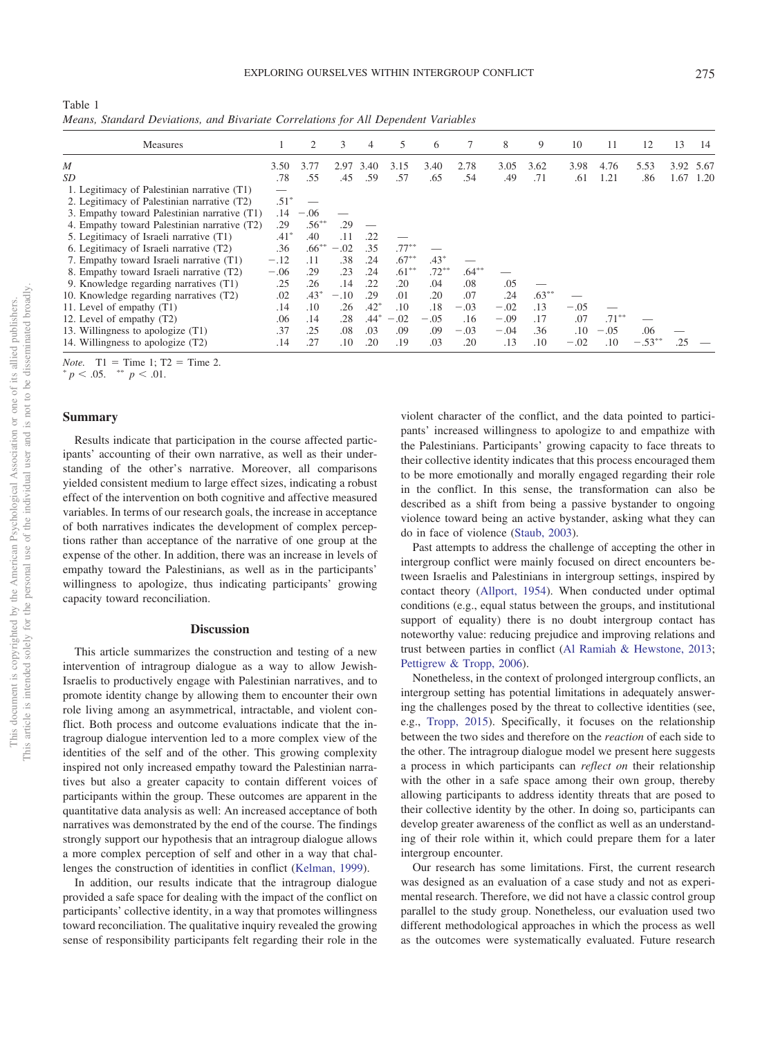<span id="page-6-0"></span>

| Table 1 |                                                                                    |  |  |  |
|---------|------------------------------------------------------------------------------------|--|--|--|
|         | Means, Standard Deviations, and Bivariate Correlations for All Dependent Variables |  |  |  |

| <b>Measures</b>                              |        | $\mathcal{D}_{\mathcal{L}}$ | 3      | 4      | 5        | 6        |          | 8      | 9        | 10     | 11       | 12        | 13        | 14   |
|----------------------------------------------|--------|-----------------------------|--------|--------|----------|----------|----------|--------|----------|--------|----------|-----------|-----------|------|
| $\boldsymbol{M}$                             | 3.50   | 3.77                        | 2.97   | 3.40   | 3.15     | 3.40     | 2.78     | 3.05   | 3.62     | 3.98   | 4.76     | 5.53      | 3.92 5.67 |      |
| SD                                           |        | .55                         | .45    | .59    | .57      | .65      | .54      | .49    | .71      | .61    | 1.21     | .86       | 1.67      | 1.20 |
| 1. Legitimacy of Palestinian narrative (T1)  |        |                             |        |        |          |          |          |        |          |        |          |           |           |      |
| 2. Legitimacy of Palestinian narrative (T2)  | $.51*$ |                             |        |        |          |          |          |        |          |        |          |           |           |      |
| 3. Empathy toward Palestinian narrative (T1) |        | $-.06$                      |        |        |          |          |          |        |          |        |          |           |           |      |
| 4. Empathy toward Palestinian narrative (T2) | .29    | $.56***$                    | .29    |        |          |          |          |        |          |        |          |           |           |      |
| 5. Legitimacy of Israeli narrative (T1)      |        | .40                         | .11    | .22    |          |          |          |        |          |        |          |           |           |      |
| 6. Legitimacy of Israeli narrative (T2)      | .36    | $.66***$                    | $-.02$ | .35    | $.77***$ |          |          |        |          |        |          |           |           |      |
| 7. Empathy toward Israeli narrative (T1)     | $-.12$ | .11                         | .38    | .24    | $.67***$ | $.43*$   |          |        |          |        |          |           |           |      |
| 8. Empathy toward Israeli narrative (T2)     | $-.06$ | .29                         | .23    | .24    | $.61***$ | $.72***$ | $.64***$ |        |          |        |          |           |           |      |
| 9. Knowledge regarding narratives (T1)       | .25    | .26                         | .14    | .22    | .20      | .04      | .08      | .05    |          |        |          |           |           |      |
| 10. Knowledge regarding narratives (T2)      | .02    | $.43*$                      | $-.10$ | .29    | .01      | .20      | .07      | .24    | $.63***$ |        |          |           |           |      |
| 11. Level of empathy (T1)                    | .14    | .10                         | .26    | $.42*$ | .10      | .18      | $-.03$   | $-.02$ | .13      | $-.05$ |          |           |           |      |
| 12. Level of empathy (T2)                    | .06    | .14                         | .28    | $.44*$ | $-.02$   | $-.05$   | .16      | $-.09$ | .17      | .07    | $.71***$ |           |           |      |
| 13. Willingness to apologize (T1)            | .37    | .25                         | .08    | .03    | .09      | .09      | $-.03$   | $-.04$ | .36      | .10    | $-.05$   | .06       |           |      |
| 14. Willingness to apologize (T2)            | .14    | .27                         | .10    | .20    | .19      | .03      | .20      | .13    | .10      | $-.02$ | .10      | $-.53***$ |           |      |

*Note.*  $T1 =$  Time 1;  $T2 =$  Time 2.

## **Summary**

Results indicate that participation in the course affected participants' accounting of their own narrative, as well as their understanding of the other's narrative. Moreover, all comparisons yielded consistent medium to large effect sizes, indicating a robust effect of the intervention on both cognitive and affective measured variables. In terms of our research goals, the increase in acceptance of both narratives indicates the development of complex perceptions rather than acceptance of the narrative of one group at the expense of the other. In addition, there was an increase in levels of empathy toward the Palestinians, as well as in the participants' willingness to apologize, thus indicating participants' growing capacity toward reconciliation.

### **Discussion**

This article summarizes the construction and testing of a new intervention of intragroup dialogue as a way to allow Jewish-Israelis to productively engage with Palestinian narratives, and to promote identity change by allowing them to encounter their own role living among an asymmetrical, intractable, and violent conflict. Both process and outcome evaluations indicate that the intragroup dialogue intervention led to a more complex view of the identities of the self and of the other. This growing complexity inspired not only increased empathy toward the Palestinian narratives but also a greater capacity to contain different voices of participants within the group. These outcomes are apparent in the quantitative data analysis as well: An increased acceptance of both narratives was demonstrated by the end of the course. The findings strongly support our hypothesis that an intragroup dialogue allows a more complex perception of self and other in a way that challenges the construction of identities in conflict [\(Kelman, 1999\)](#page-7-1).

In addition, our results indicate that the intragroup dialogue provided a safe space for dealing with the impact of the conflict on participants' collective identity, in a way that promotes willingness toward reconciliation. The qualitative inquiry revealed the growing sense of responsibility participants felt regarding their role in the

violent character of the conflict, and the data pointed to participants' increased willingness to apologize to and empathize with the Palestinians. Participants' growing capacity to face threats to their collective identity indicates that this process encouraged them to be more emotionally and morally engaged regarding their role in the conflict. In this sense, the transformation can also be described as a shift from being a passive bystander to ongoing violence toward being an active bystander, asking what they can do in face of violence [\(Staub, 2003\)](#page-8-17).

Past attempts to address the challenge of accepting the other in intergroup conflict were mainly focused on direct encounters between Israelis and Palestinians in intergroup settings, inspired by contact theory [\(Allport, 1954\)](#page-7-3). When conducted under optimal conditions (e.g., equal status between the groups, and institutional support of equality) there is no doubt intergroup contact has noteworthy value: reducing prejudice and improving relations and trust between parties in conflict [\(Al Ramiah & Hewstone, 2013;](#page-7-4) [Pettigrew & Tropp, 2006\)](#page-8-0).

Nonetheless, in the context of prolonged intergroup conflicts, an intergroup setting has potential limitations in adequately answering the challenges posed by the threat to collective identities (see, e.g., [Tropp, 2015\)](#page-8-18). Specifically, it focuses on the relationship between the two sides and therefore on the *reaction* of each side to the other. The intragroup dialogue model we present here suggests a process in which participants can *reflect on* their relationship with the other in a safe space among their own group, thereby allowing participants to address identity threats that are posed to their collective identity by the other. In doing so, participants can develop greater awareness of the conflict as well as an understanding of their role within it, which could prepare them for a later intergroup encounter.

Our research has some limitations. First, the current research was designed as an evaluation of a case study and not as experimental research. Therefore, we did not have a classic control group parallel to the study group. Nonetheless, our evaluation used two different methodological approaches in which the process as well as the outcomes were systematically evaluated. Future research

 $p < .05.$  \*\*  $p < .01.$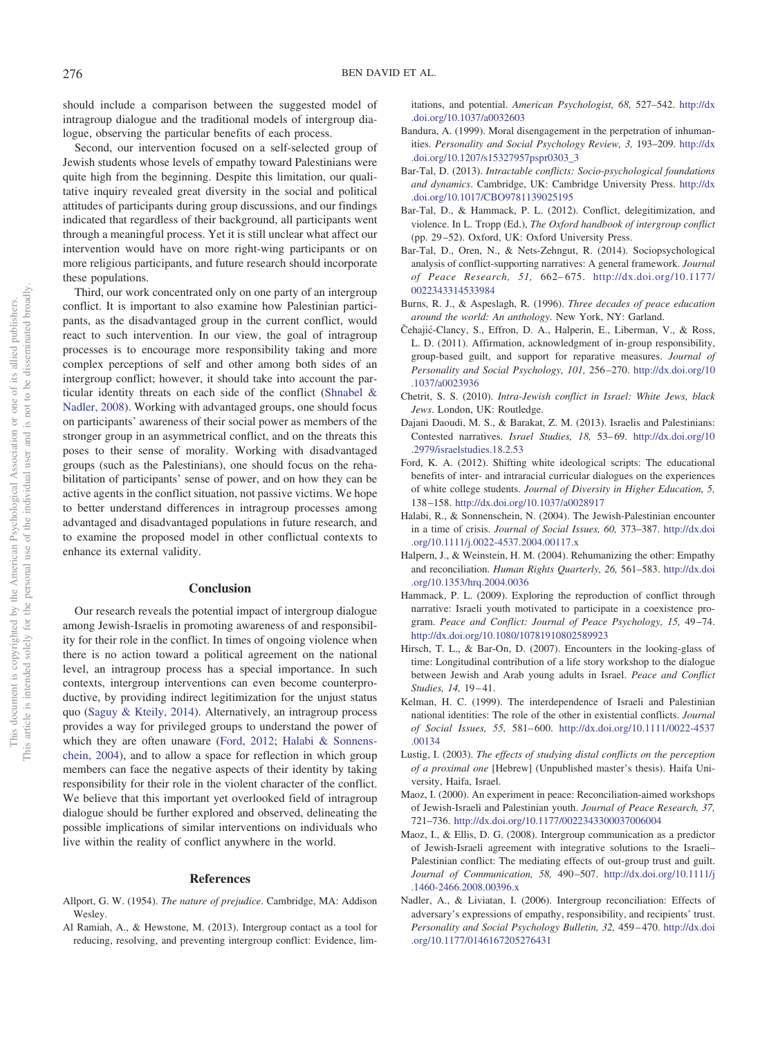should include a comparison between the suggested model of intragroup dialogue and the traditional models of intergroup dialogue, observing the particular benefits of each process.

Second, our intervention focused on a self-selected group of Jewish students whose levels of empathy toward Palestinians were quite high from the beginning. Despite this limitation, our qualitative inquiry revealed great diversity in the social and political attitudes of participants during group discussions, and our findings indicated that regardless of their background, all participants went through a meaningful process. Yet it is still unclear what affect our intervention would have on more right-wing participants or on more religious participants, and future research should incorporate these populations.

Third, our work concentrated only on one party of an intergroup conflict. It is important to also examine how Palestinian participants, as the disadvantaged group in the current conflict, would react to such intervention. In our view, the goal of intragroup processes is to encourage more responsibility taking and more complex perceptions of self and other among both sides of an intergroup conflict; however, it should take into account the particular identity threats on each side of the conflict [\(Shnabel &](#page-8-5) [Nadler, 2008\)](#page-8-5). Working with advantaged groups, one should focus on participants' awareness of their social power as members of the stronger group in an asymmetrical conflict, and on the threats this poses to their sense of morality. Working with disadvantaged groups (such as the Palestinians), one should focus on the rehabilitation of participants' sense of power, and on how they can be active agents in the conflict situation, not passive victims. We hope to better understand differences in intragroup processes among advantaged and disadvantaged populations in future research, and to examine the proposed model in other conflictual contexts to enhance its external validity.

## **Conclusion**

Our research reveals the potential impact of intergroup dialogue among Jewish-Israelis in promoting awareness of and responsibility for their role in the conflict. In times of ongoing violence when there is no action toward a political agreement on the national level, an intragroup process has a special importance. In such contexts, intergroup interventions can even become counterproductive, by providing indirect legitimization for the unjust status quo [\(Saguy & Kteily, 2014\)](#page-8-19). Alternatively, an intragroup process provides a way for privileged groups to understand the power of which they are often unaware [\(Ford, 2012;](#page-7-15) [Halabi & Sonnens](#page-7-5)[chein, 2004\)](#page-7-5), and to allow a space for reflection in which group members can face the negative aspects of their identity by taking responsibility for their role in the violent character of the conflict. We believe that this important yet overlooked field of intragroup dialogue should be further explored and observed, delineating the possible implications of similar interventions on individuals who live within the reality of conflict anywhere in the world.

#### **References**

- <span id="page-7-3"></span>Allport, G. W. (1954). *The nature of prejudice*. Cambridge, MA: Addison Wesley.
- <span id="page-7-4"></span>Al Ramiah, A., & Hewstone, M. (2013). Intergroup contact as a tool for reducing, resolving, and preventing intergroup conflict: Evidence, lim-

itations, and potential. *American Psychologist, 68,* 527–542. [http://dx](http://dx.doi.org/10.1037/a0032603) [.doi.org/10.1037/a0032603](http://dx.doi.org/10.1037/a0032603)

- <span id="page-7-11"></span>Bandura, A. (1999). Moral disengagement in the perpetration of inhumanities. *Personality and Social Psychology Review, 3,* 193–209. [http://dx](http://dx.doi.org/10.1207/s15327957pspr0303_3) [.doi.org/10.1207/s15327957pspr0303\\_3](http://dx.doi.org/10.1207/s15327957pspr0303_3)
- <span id="page-7-0"></span>Bar-Tal, D. (2013). *Intractable conflicts: Socio-psychological foundations and dynamics*. Cambridge, UK: Cambridge University Press. [http://dx](http://dx.doi.org/10.1017/CBO9781139025195) [.doi.org/10.1017/CBO9781139025195](http://dx.doi.org/10.1017/CBO9781139025195)
- <span id="page-7-2"></span>Bar-Tal, D., & Hammack, P. L. (2012). Conflict, delegitimization, and violence. In L. Tropp (Ed.), *The Oxford handbook of intergroup conflict* (pp. 29–52). Oxford, UK: Oxford University Press.
- <span id="page-7-8"></span>Bar-Tal, D., Oren, N., & Nets-Zehngut, R. (2014). Sociopsychological analysis of conflict-supporting narratives: A general framework. *Journal of Peace Research, 51,* 662–675. [http://dx.doi.org/10.1177/](http://dx.doi.org/10.1177/0022343314533984) [0022343314533984](http://dx.doi.org/10.1177/0022343314533984)
- <span id="page-7-18"></span>Burns, R. J., & Aspeslagh, R. (1996). *Three decades of peace education around the world: An anthology*. New York, NY: Garland.
- <span id="page-7-13"></span>Čehajić-Clancy, S., Effron, D. A., Halperin, E., Liberman, V., & Ross, L. D. (2011). Affirmation, acknowledgment of in-group responsibility, group-based guilt, and support for reparative measures. *Journal of Personality and Social Psychology, 101,* 256–270. [http://dx.doi.org/10](http://dx.doi.org/10.1037/a0023936) [.1037/a0023936](http://dx.doi.org/10.1037/a0023936)
- <span id="page-7-19"></span>Chetrit, S. S. (2010). *Intra-Jewish conflict in Israel: White Jews, black Jews*. London, UK: Routledge.
- <span id="page-7-9"></span>Dajani Daoudi, M. S., & Barakat, Z. M. (2013). Israelis and Palestinians: Contested narratives. *Israel Studies, 18,* 53–69. [http://dx.doi.org/10](http://dx.doi.org/10.2979/israelstudies.18.2.53) [.2979/israelstudies.18.2.53](http://dx.doi.org/10.2979/israelstudies.18.2.53)
- <span id="page-7-15"></span>Ford, K. A. (2012). Shifting white ideological scripts: The educational benefits of inter- and intraracial curricular dialogues on the experiences of white college students. *Journal of Diversity in Higher Education, 5,* 138–158. <http://dx.doi.org/10.1037/a0028917>
- <span id="page-7-5"></span>Halabi, R., & Sonnenschein, N. (2004). The Jewish-Palestinian encounter in a time of crisis. *Journal of Social Issues, 60,* 373–387. [http://dx.doi](http://dx.doi.org/10.1111/j.0022-4537.2004.00117.x) [.org/10.1111/j.0022-4537.2004.00117.x](http://dx.doi.org/10.1111/j.0022-4537.2004.00117.x)
- <span id="page-7-12"></span>Halpern, J., & Weinstein, H. M. (2004). Rehumanizing the other: Empathy and reconciliation. *Human Rights Quarterly, 26,* 561–583. [http://dx.doi](http://dx.doi.org/10.1353/hrq.2004.0036) [.org/10.1353/hrq.2004.0036](http://dx.doi.org/10.1353/hrq.2004.0036)
- <span id="page-7-10"></span>Hammack, P. L. (2009). Exploring the reproduction of conflict through narrative: Israeli youth motivated to participate in a coexistence program. *Peace and Conflict: Journal of Peace Psychology, 15,* 49–74. <http://dx.doi.org/10.1080/10781910802589923>
- <span id="page-7-6"></span>Hirsch, T. L., & Bar-On, D. (2007). Encounters in the looking-glass of time: Longitudinal contribution of a life story workshop to the dialogue between Jewish and Arab young adults in Israel. *Peace and Conflict Studies, 14,* 19–41.
- <span id="page-7-1"></span>Kelman, H. C. (1999). The interdependence of Israeli and Palestinian national identities: The role of the other in existential conflicts. *Journal of Social Issues, 55,* 581–600. [http://dx.doi.org/10.1111/0022-4537](http://dx.doi.org/10.1111/0022-4537.00134) [.00134](http://dx.doi.org/10.1111/0022-4537.00134)
- <span id="page-7-17"></span>Lustig, I. (2003). *The effects of studying distal conflicts on the perception of a proximal one* [Hebrew] (Unpublished master's thesis). Haifa University, Haifa, Israel.
- <span id="page-7-16"></span>Maoz, I. (2000). An experiment in peace: Reconciliation-aimed workshops of Jewish-Israeli and Palestinian youth. *Journal of Peace Research, 37,* 721–736. <http://dx.doi.org/10.1177/0022343300037006004>
- <span id="page-7-7"></span>Maoz, I., & Ellis, D. G. (2008). Intergroup communication as a predictor of Jewish-Israeli agreement with integrative solutions to the Israeli– Palestinian conflict: The mediating effects of out-group trust and guilt. *Journal of Communication, 58,* 490–507. [http://dx.doi.org/10.1111/j](http://dx.doi.org/10.1111/j.1460-2466.2008.00396.x) [.1460-2466.2008.00396.x](http://dx.doi.org/10.1111/j.1460-2466.2008.00396.x)
- <span id="page-7-14"></span>Nadler, A., & Liviatan, I. (2006). Intergroup reconciliation: Effects of adversary's expressions of empathy, responsibility, and recipients' trust. *Personality and Social Psychology Bulletin, 32,* 459–470. [http://dx.doi](http://dx.doi.org/10.1177/0146167205276431) [.org/10.1177/0146167205276431](http://dx.doi.org/10.1177/0146167205276431)